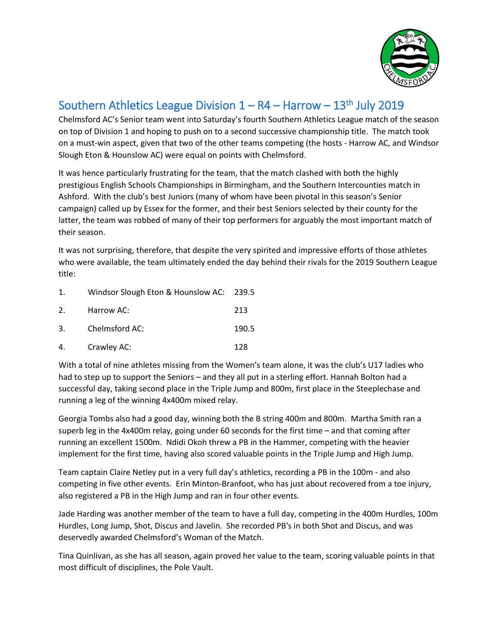

## Southern Athletics League Division  $1 - R4 -$  Harrow  $- 13<sup>th</sup>$  July 2019

Chelmsford AC's Senior team went into Saturday's fourth Southern Athletics League match of the season on top of Division 1 and hoping to push on to a second successive championship title. The match took on a must-win aspect, given that two of the other teams competing (the hosts - Harrow AC, and Windsor Slough Eton & Hounslow AC) were equal on points with Chelmsford.

It was hence particularly frustrating for the team, that the match clashed with both the highly prestigious English Schools Championships in Birmingham, and the Southern Intercounties match in Ashford. With the club's best Juniors (many of whom have been pivotal in this season's Senior campaign) called up by Essex for the former, and their best Seniors selected by their county for the latter, the team was robbed of many of their top performers for arguably the most important match of their season.

It was not surprising, therefore, that despite the very spirited and impressive efforts of those athletes who were available, the team ultimately ended the day behind their rivals for the 2019 Southern League title:

| 1.             | Windsor Slough Eton & Hounslow AC: 239.5 |       |
|----------------|------------------------------------------|-------|
| 2 <sub>1</sub> | Harrow AC:                               | 213   |
| 3.             | Chelmsford AC:                           | 190.5 |
| 4.             | Crawley AC:                              | 128   |

With a total of nine athletes missing from the Women's team alone, it was the club's U17 ladies who had to step up to support the Seniors – and they all put in a sterling effort. Hannah Bolton had a successful day, taking second place in the Triple Jump and 800m, first place in the Steeplechase and running a leg of the winning 4x400m mixed relay.

Georgia Tombs also had a good day, winning both the B string 400m and 800m. Martha Smith ran a superb leg in the 4x400m relay, going under 60 seconds for the first time – and that coming after running an excellent 1500m. Ndidi Okoh threw a PB in the Hammer, competing with the heavier implement for the first time, having also scored valuable points in the Triple Jump and High Jump.

Team captain Claire Netley put in a very full day's athletics, recording a PB in the 100m - and also competing in five other events. Erin Minton-Branfoot, who has just about recovered from a toe injury, also registered a PB in the High Jump and ran in four other events.

Jade Harding was another member of the team to have a full day, competing in the 400m Hurdles, 100m Hurdles, Long Jump, Shot, Discus and Javelin. She recorded PB's in both Shot and Discus, and was deservedly awarded Chelmsford's Woman of the Match.

Tina Quinlivan, as she has all season, again proved her value to the team, scoring valuable points in that most difficult of disciplines, the Pole Vault.